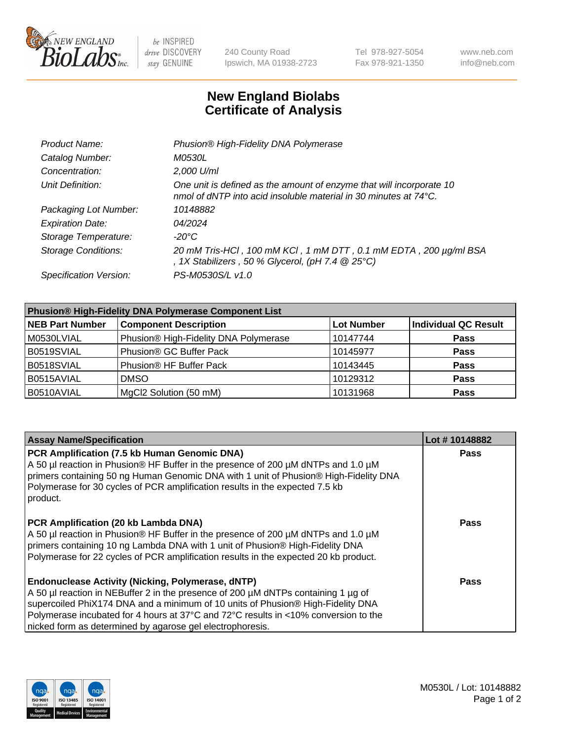

be INSPIRED drive DISCOVERY stay GENUINE

240 County Road Ipswich, MA 01938-2723 Tel 978-927-5054 Fax 978-921-1350 www.neb.com info@neb.com

## **New England Biolabs Certificate of Analysis**

| Product Name:              | Phusion® High-Fidelity DNA Polymerase                                                                                                     |
|----------------------------|-------------------------------------------------------------------------------------------------------------------------------------------|
| Catalog Number:            | M0530L                                                                                                                                    |
| Concentration:             | 2,000 U/ml                                                                                                                                |
| Unit Definition:           | One unit is defined as the amount of enzyme that will incorporate 10<br>nmol of dNTP into acid insoluble material in 30 minutes at 74 °C. |
| Packaging Lot Number:      | 10148882                                                                                                                                  |
| <b>Expiration Date:</b>    | 04/2024                                                                                                                                   |
| Storage Temperature:       | $-20^{\circ}$ C                                                                                                                           |
| <b>Storage Conditions:</b> | 20 mM Tris-HCl, 100 mM KCl, 1 mM DTT, 0.1 mM EDTA, 200 µg/ml BSA<br>, 1X Stabilizers, 50 % Glycerol, (pH 7.4 $@25°C$ )                    |
| Specification Version:     | PS-M0530S/L v1.0                                                                                                                          |

| <b>Phusion® High-Fidelity DNA Polymerase Component List</b> |                                       |                   |                             |  |
|-------------------------------------------------------------|---------------------------------------|-------------------|-----------------------------|--|
| <b>NEB Part Number</b>                                      | <b>Component Description</b>          | <b>Lot Number</b> | <b>Individual QC Result</b> |  |
| M0530LVIAL                                                  | Phusion® High-Fidelity DNA Polymerase | 10147744          | <b>Pass</b>                 |  |
| B0519SVIAL                                                  | Phusion <sup>®</sup> GC Buffer Pack   | 10145977          | <b>Pass</b>                 |  |
| B0518SVIAL                                                  | Phusion® HF Buffer Pack               | 10143445          | <b>Pass</b>                 |  |
| B0515AVIAL                                                  | <b>DMSO</b>                           | 10129312          | <b>Pass</b>                 |  |
| B0510AVIAL                                                  | MgCl2 Solution (50 mM)                | 10131968          | <b>Pass</b>                 |  |

| <b>Assay Name/Specification</b>                                                                                                                                                                                                                                                                                                                                                      | Lot #10148882 |
|--------------------------------------------------------------------------------------------------------------------------------------------------------------------------------------------------------------------------------------------------------------------------------------------------------------------------------------------------------------------------------------|---------------|
| PCR Amplification (7.5 kb Human Genomic DNA)<br>A 50 µl reaction in Phusion® HF Buffer in the presence of 200 µM dNTPs and 1.0 µM<br>primers containing 50 ng Human Genomic DNA with 1 unit of Phusion® High-Fidelity DNA<br>Polymerase for 30 cycles of PCR amplification results in the expected 7.5 kb<br>product.                                                                | <b>Pass</b>   |
| PCR Amplification (20 kb Lambda DNA)<br>A 50 µl reaction in Phusion® HF Buffer in the presence of 200 µM dNTPs and 1.0 µM<br>primers containing 10 ng Lambda DNA with 1 unit of Phusion® High-Fidelity DNA<br>Polymerase for 22 cycles of PCR amplification results in the expected 20 kb product.                                                                                   | Pass          |
| <b>Endonuclease Activity (Nicking, Polymerase, dNTP)</b><br>A 50 µl reaction in NEBuffer 2 in the presence of 200 µM dNTPs containing 1 µg of<br>supercoiled PhiX174 DNA and a minimum of 10 units of Phusion® High-Fidelity DNA<br>Polymerase incubated for 4 hours at 37°C and 72°C results in <10% conversion to the<br>nicked form as determined by agarose gel electrophoresis. | Pass          |